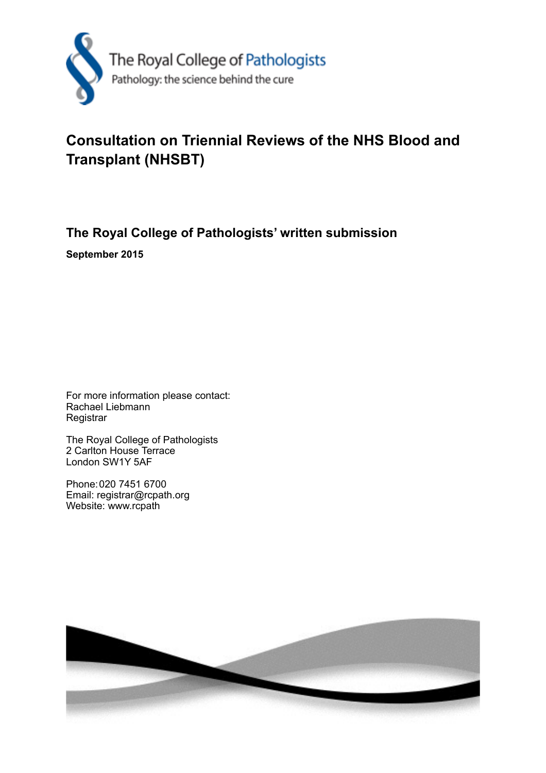

# **Consultation on Triennial Reviews of the NHS Blood and Transplant (NHSBT)**

**The Royal College of Pathologists' written submission**

**September 2015**

For more information please contact: Rachael Liebmann **Registrar** 

The Royal College of Pathologists 2 Carlton House Terrace London SW1Y 5AF

Phone: 020 7451 6700 Email: registrar@rcpath.org Website: www.rcpath

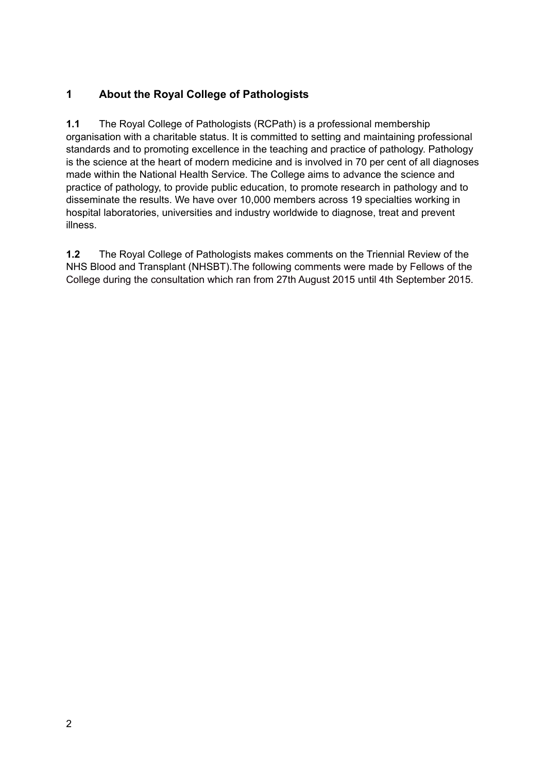# **1 About the Royal College of Pathologists**

**1.1** The Royal College of Pathologists (RCPath) is a professional membership organisation with a charitable status. It is committed to setting and maintaining professional standards and to promoting excellence in the teaching and practice of pathology. Pathology is the science at the heart of modern medicine and is involved in 70 per cent of all diagnoses made within the National Health Service. The College aims to advance the science and practice of pathology, to provide public education, to promote research in pathology and to disseminate the results. We have over 10,000 members across 19 specialties working in hospital laboratories, universities and industry worldwide to diagnose, treat and prevent illness.

**1.2** The Royal College of Pathologists makes comments on the Triennial Review of the NHS Blood and Transplant (NHSBT).The following comments were made by Fellows of the College during the consultation which ran from 27th August 2015 until 4th September 2015.